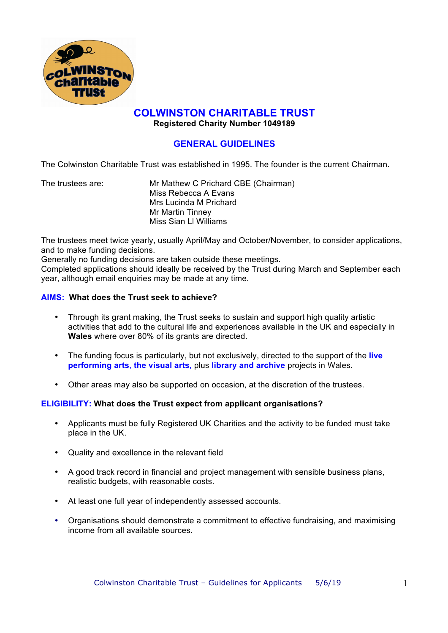

# **COLWINSTON CHARITABLE TRUST**

**Registered Charity Number 1049189**

## **GENERAL GUIDELINES**

The Colwinston Charitable Trust was established in 1995. The founder is the current Chairman.

The trustees are: Mr Mathew C Prichard CBE (Chairman) Miss Rebecca A Evans Mrs Lucinda M Prichard Mr Martin Tinney Miss Sian Ll Williams

The trustees meet twice yearly, usually April/May and October/November, to consider applications, and to make funding decisions.

Generally no funding decisions are taken outside these meetings. Completed applications should ideally be received by the Trust during March and September each year, although email enquiries may be made at any time.

## **AIMS: What does the Trust seek to achieve?**

- Through its grant making, the Trust seeks to sustain and support high quality artistic activities that add to the cultural life and experiences available in the UK and especially in **Wales** where over 80% of its grants are directed.
- The funding focus is particularly, but not exclusively, directed to the support of the **live performing arts**, **the visual arts,** plus **library and archive** projects in Wales.
- Other areas may also be supported on occasion, at the discretion of the trustees.

## **ELIGIBILITY: What does the Trust expect from applicant organisations?**

- Applicants must be fully Registered UK Charities and the activity to be funded must take place in the UK.
- Quality and excellence in the relevant field
- A good track record in financial and project management with sensible business plans, realistic budgets, with reasonable costs.
- At least one full year of independently assessed accounts.
- Organisations should demonstrate a commitment to effective fundraising, and maximising income from all available sources.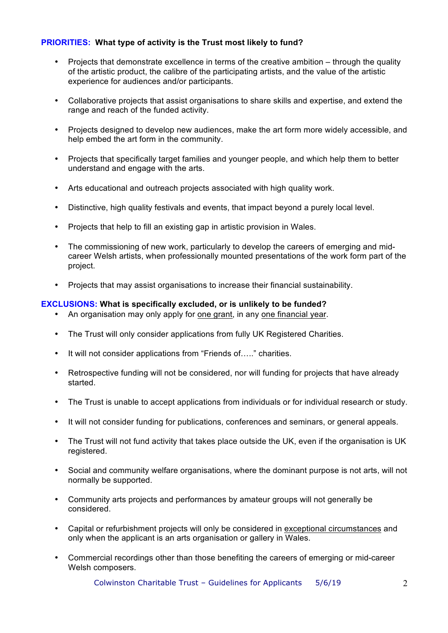## **PRIORITIES: What type of activity is the Trust most likely to fund?**

- Projects that demonstrate excellence in terms of the creative ambition through the quality of the artistic product, the calibre of the participating artists, and the value of the artistic experience for audiences and/or participants.
- Collaborative projects that assist organisations to share skills and expertise, and extend the range and reach of the funded activity.
- Projects designed to develop new audiences, make the art form more widely accessible, and help embed the art form in the community.
- Projects that specifically target families and younger people, and which help them to better understand and engage with the arts.
- Arts educational and outreach projects associated with high quality work.
- Distinctive, high quality festivals and events, that impact beyond a purely local level.
- Projects that help to fill an existing gap in artistic provision in Wales.
- The commissioning of new work, particularly to develop the careers of emerging and midcareer Welsh artists, when professionally mounted presentations of the work form part of the project.
- Projects that may assist organisations to increase their financial sustainability.

#### **EXCLUSIONS: What is specifically excluded, or is unlikely to be funded?**

- An organisation may only apply for one grant, in any one financial year.
- The Trust will only consider applications from fully UK Registered Charities.
- It will not consider applications from "Friends of....." charities.
- Retrospective funding will not be considered, nor will funding for projects that have already started.
- The Trust is unable to accept applications from individuals or for individual research or study.
- It will not consider funding for publications, conferences and seminars, or general appeals.
- The Trust will not fund activity that takes place outside the UK, even if the organisation is UK registered.
- Social and community welfare organisations, where the dominant purpose is not arts, will not normally be supported.
- Community arts projects and performances by amateur groups will not generally be considered.
- Capital or refurbishment projects will only be considered in exceptional circumstances and only when the applicant is an arts organisation or gallery in Wales.
- Commercial recordings other than those benefiting the careers of emerging or mid-career Welsh composers.

Colwinston Charitable Trust – Guidelines for Applicants 5/6/19 2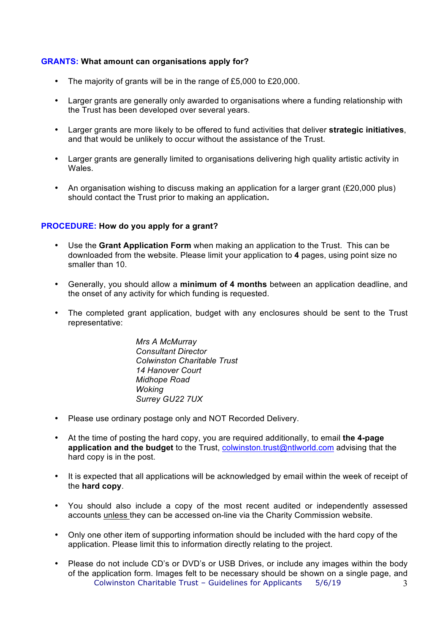### **GRANTS: What amount can organisations apply for?**

- The majority of grants will be in the range of £5,000 to £20,000.
- Larger grants are generally only awarded to organisations where a funding relationship with the Trust has been developed over several years.
- Larger grants are more likely to be offered to fund activities that deliver **strategic initiatives**, and that would be unlikely to occur without the assistance of the Trust.
- Larger grants are generally limited to organisations delivering high quality artistic activity in Wales.
- An organisation wishing to discuss making an application for a larger grant (£20,000 plus) should contact the Trust prior to making an application**.**

#### **PROCEDURE: How do you apply for a grant?**

- Use the **Grant Application Form** when making an application to the Trust. This can be downloaded from the website. Please limit your application to **4** pages, using point size no smaller than 10.
- Generally, you should allow a **minimum of 4 months** between an application deadline, and the onset of any activity for which funding is requested.
- The completed grant application, budget with any enclosures should be sent to the Trust representative:

*Mrs A McMurray Consultant Director Colwinston Charitable Trust 14 Hanover Court Midhope Road Woking Surrey GU22 7UX*

- Please use ordinary postage only and NOT Recorded Delivery.
- At the time of posting the hard copy, you are required additionally, to email **the 4-page application and the budget** to the Trust, colwinston.trust@ntlworld.com advising that the hard copy is in the post.
- It is expected that all applications will be acknowledged by email within the week of receipt of the **hard copy**.
- You should also include a copy of the most recent audited or independently assessed accounts unless they can be accessed on-line via the Charity Commission website.
- Only one other item of supporting information should be included with the hard copy of the application. Please limit this to information directly relating to the project.
- Colwinston Charitable Trust Guidelines for Applicants 5/6/19 3 • Please do not include CD's or DVD's or USB Drives, or include any images within the body of the application form. Images felt to be necessary should be shown on a single page, and